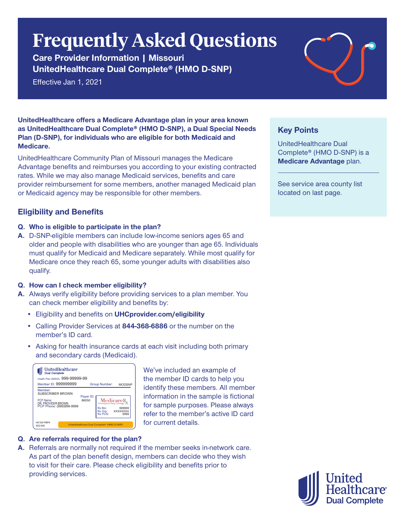# **Frequently Asked Questions**

**Care Provider Information | Missouri UnitedHealthcare Dual Complete® (HMO D-SNP)**

Effective Jan 1, 2021



**UnitedHealthcare offers a Medicare Advantage plan in your area known as UnitedHealthcare Dual Complete® (HMO D-SNP), a Dual Special Needs Plan (D-SNP), for individuals who are eligible for both Medicaid and Medicare.**

UnitedHealthcare Community Plan of Missouri manages the Medicare Advantage benefits and reimburses you according to your existing contracted rates. While we may also manage Medicaid services, benefits and care provider reimbursement for some members, another managed Medicaid plan or Medicaid agency may be responsible for other members.

# **Eligibility and Benefits**

- **Q. Who is eligible to participate in the plan?**
- **A.** D-SNP-eligible members can include low-income seniors ages 65 and older and people with disabilities who are younger than age 65. Individuals must qualify for Medicaid and Medicare separately. While most qualify for Medicare once they reach 65, some younger adults with disabilities also qualify.

#### **Q. How can I check member eligibility?**

- **A.** Always verify eligibility before providing services to a plan member. You can check member eligibility and benefits by:
	- Eligibility and benefits on **UHCprovider.com/eligibility**
	- Calling Provider Services at **844-368-6886** or the number on the member's ID card.
	- Asking for health insurance cards at each visit including both primary and secondary cards (Medicaid).

| UnitedHealthcare<br><b>Dual Complete</b>                                                   |                    |                                                                      |                    |
|--------------------------------------------------------------------------------------------|--------------------|----------------------------------------------------------------------|--------------------|
| Health Plan (80840): 999-99999-99<br>Member ID: 999999999                                  |                    | Group Number:                                                        | <b>MODSNP</b>      |
| Member:<br>SUBSCRIBER BROWN<br>PCP Name:<br>DR. PROVIDER BROWN<br>PCP Phone: (999)999-9999 | Payer ID:<br>86050 | <b>MedicareR</b><br>Prescription Drug Coverage<br>Rx Bin:<br>Rx Gro: | 999999<br>XXXXXXXX |
|                                                                                            |                    | <b>Rx PCN:</b>                                                       | 9999               |
| H0169 PBP#<br>002-000                                                                      |                    | UnitedHealthcare Dual Complete® (HMO D-SNP)                          |                    |

We've included an example of the member ID cards to help you identify these members. All member information in the sample is fictional for sample purposes. Please always refer to the member's active ID card for current details.

# **Q. Are referrals required for the plan?**

**A.** Referrals are normally not required if the member seeks in-network care. As part of the plan benefit design, members can decide who they wish to visit for their care. Please check eligibility and benefits prior to providing services.

# **Key Points**

UnitedHealthcare Dual Complete® (HMO D-SNP) is a **Medicare Advantage** plan.

See service area county list located on last page.

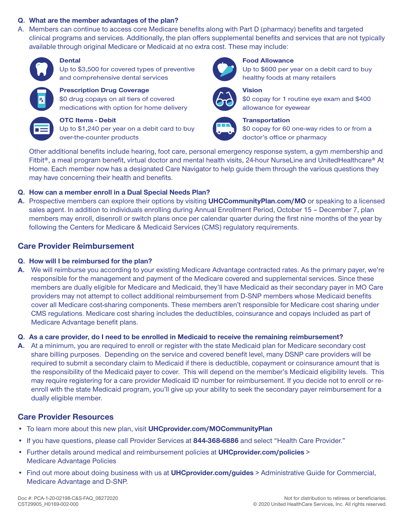#### **Q. What are the member advantages of the plan?**

A. Members can continue to access core Medicare benefits along with Part D (pharmacy) benefits and targeted clinical programs and services. Additionally, the plan offers supplemental benefits and services that are not typically available through original Medicare or Medicaid at no extra cost. These may include:



#### **Dental**

Up to \$3,500 for covered types of preventive and comprehensive dental services



# **Prescription Drug Coverage**

\$0 drug copays on all tiers of covered medications with option for home delivery



# **OTC Items - Debit**

Up to \$1,240 per year on a debit card to buy over-the-counter products



#### **Food Allowance**

Up to \$600 per year on a debit card to buy healthy foods at many retailers



#### **Vision**



# \$0 copay for 1 routine eye exam and \$400 allowance for eyewear

**Transportation**  \$0 copay for 60 one-way rides to or from a doctor's office or pharmacy

Other additional benefits include hearing, foot care, personal emergency response system, a gym membership and Fitbit®, a meal program benefit, virtual doctor and mental health visits, 24-hour NurseLine and UnitedHealthcare® At Home. Each member now has a designated Care Navigator to help guide them through the various questions they may have concerning their health and benefits.

#### **Q. How can a member enroll in a Dual Special Needs Plan?**

**A.** Prospective members can explore their options by visiting **UHCCommunityPlan.com/MO** or speaking to a licensed sales agent. In addition to individuals enrolling during Annual Enrollment Period, October 15 – December 7, plan members may enroll, disenroll or switch plans once per calendar quarter during the first nine months of the year by following the Centers for Medicare & Medicaid Services (CMS) regulatory requirements.

# **Care Provider Reimbursement**

#### **Q. How will I be reimbursed for the plan?**

**A.** We will reimburse you according to your existing Medicare Advantage contracted rates. As the primary payer, we're responsible for the management and payment of the Medicare covered and supplemental services. Since these members are dually eligible for Medicare and Medicaid, they'll have Medicaid as their secondary payer in MO Care providers may not attempt to collect additional reimbursement from D-SNP members whose Medicaid benefits cover all Medicare cost-sharing components. These members aren't responsible for Medicare cost sharing under CMS regulations. Medicare cost sharing includes the deductibles, coinsurance and copays included as part of Medicare Advantage benefit plans.

#### **Q. As a care provider, do I need to be enrolled in Medicaid to receive the remaining reimbursement?**

**A.** At a minimum, you are required to enroll or register with the state Medicaid plan for Medicare secondary cost share billing purposes. Depending on the service and covered benefit level, many DSNP care providers will be required to submit a secondary claim to Medicaid if there is deductible, copayment or coinsurance amount that is the responsibility of the Medicaid payer to cover. This will depend on the member's Medicaid eligibility levels. This may require registering for a care provider Medicaid ID number for reimbursement. If you decide not to enroll or reenroll with the state Medicaid program, you'll give up your ability to seek the secondary payer reimbursement for a dually eligible member.

# **Care Provider Resources**

- To learn more about this new plan, visit **UHCprovider.com/MOCommunityPlan**
- If you have questions, please call Provider Services at **844-368-6886** and select "Health Care Provider."
- Further details around medical and reimbursement policies at **UHCprovider.com/policies** > Medicare Advantage Policies
- Find out more about doing business with us at **UHCprovider.com/guides** > Administrative Guide for Commercial, Medicare Advantage and D-SNP.